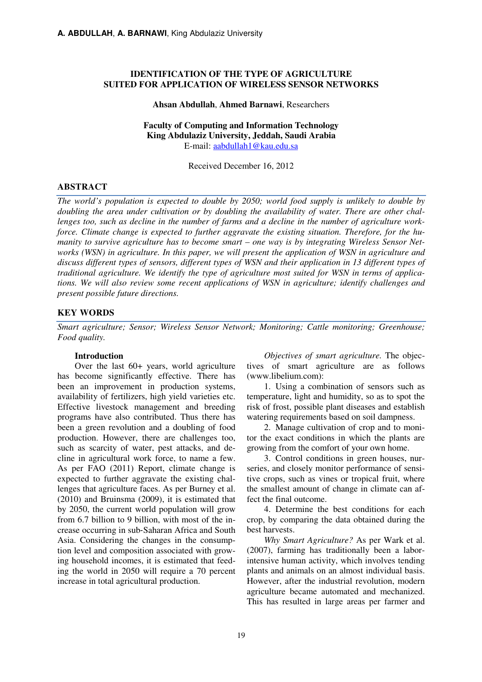#### **IDENTIFICATION OF THE TYPE OF AGRICULTURE SUITED FOR APPLICATION OF WIRELESS SENSOR NETWORKS**

#### **Ahsan Abdullah**, **Ahmed Barnawi**, Researchers

#### **Faculty of Computing and Information Technology King Abdulaziz University, Jeddah, Saudi Arabia**  E-mail: aabdullah1@kau.edu.sa

Received December 16, 2012

#### **ABSTRACT**

*The world's population is expected to double by 2050; world food supply is unlikely to double by doubling the area under cultivation or by doubling the availability of water. There are other challenges too, such as decline in the number of farms and a decline in the number of agriculture workforce. Climate change is expected to further aggravate the existing situation. Therefore, for the humanity to survive agriculture has to become smart – one way is by integrating Wireless Sensor Networks (WSN) in agriculture. In this paper, we will present the application of WSN in agriculture and discuss different types of sensors, different types of WSN and their application in 13 different types of traditional agriculture. We identify the type of agriculture most suited for WSN in terms of applications. We will also review some recent applications of WSN in agriculture; identify challenges and present possible future directions.* 

#### **KEY WORDS**

*Smart agriculture; Sensor; Wireless Sensor Network; Monitoring; Cattle monitoring; Greenhouse; Food quality.*

#### **Introduction**

Over the last 60+ years, world agriculture has become significantly effective. There has been an improvement in production systems, availability of fertilizers, high yield varieties etc. Effective livestock management and breeding programs have also contributed. Thus there has been a green revolution and a doubling of food production. However, there are challenges too, such as scarcity of water, pest attacks, and decline in agricultural work force, to name a few. As per FAO (2011) Report, climate change is expected to further aggravate the existing challenges that agriculture faces. As per Burney et al. (2010) and Bruinsma (2009), it is estimated that by 2050, the current world population will grow from 6.7 billion to 9 billion, with most of the increase occurring in sub‐Saharan Africa and South Asia. Considering the changes in the consumption level and composition associated with growing household incomes, it is estimated that feeding the world in 2050 will require a 70 percent increase in total agricultural production.

*Objectives of smart agriculture.* The objectives of smart agriculture are as follows (www.libelium.com):

1. Using a combination of sensors such as temperature, light and humidity, so as to spot the risk of frost, possible plant diseases and establish watering requirements based on soil dampness.

2. Manage cultivation of crop and to monitor the exact conditions in which the plants are growing from the comfort of your own home.

3. Control conditions in green houses, nurseries, and closely monitor performance of sensitive crops, such as vines or tropical fruit, where the smallest amount of change in climate can affect the final outcome.

4. Determine the best conditions for each crop, by comparing the data obtained during the best harvests.

*Why Smart Agriculture?* As per Wark et al. (2007), farming has traditionally been a laborintensive human activity, which involves tending plants and animals on an almost individual basis. However, after the industrial revolution, modern agriculture became automated and mechanized. This has resulted in large areas per farmer and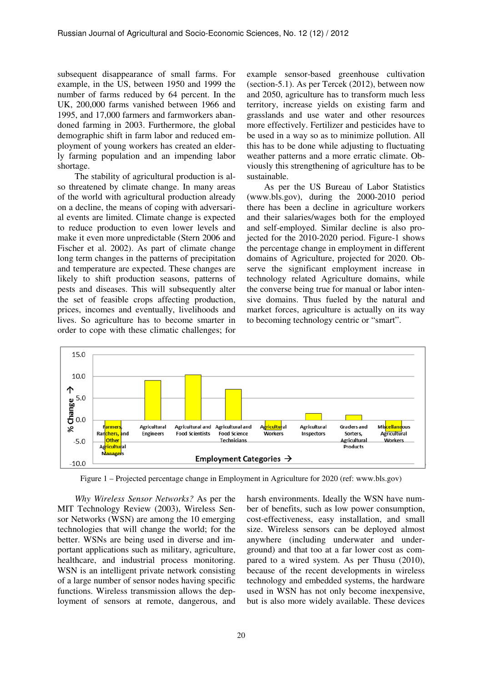subsequent disappearance of small farms. For example, in the US, between 1950 and 1999 the number of farms reduced by 64 percent. In the UK, 200,000 farms vanished between 1966 and 1995, and 17,000 farmers and farmworkers abandoned farming in 2003. Furthermore, the global demographic shift in farm labor and reduced employment of young workers has created an elderly farming population and an impending labor shortage.

The stability of agricultural production is also threatened by climate change. In many areas of the world with agricultural production already on a decline, the means of coping with adversarial events are limited. Climate change is expected to reduce production to even lower levels and make it even more unpredictable (Stern 2006 and Fischer et al. 2002). As part of climate change long term changes in the patterns of precipitation and temperature are expected. These changes are likely to shift production seasons, patterns of pests and diseases. This will subsequently alter the set of feasible crops affecting production, prices, incomes and eventually, livelihoods and lives. So agriculture has to become smarter in order to cope with these climatic challenges; for example sensor-based greenhouse cultivation (section-5.1). As per Tercek (2012), between now and 2050, agriculture has to transform much less territory, increase yields on existing farm and grasslands and use water and other resources more effectively. Fertilizer and pesticides have to be used in a way so as to minimize pollution. All this has to be done while adjusting to fluctuating weather patterns and a more erratic climate. Obviously this strengthening of agriculture has to be sustainable.

As per the US Bureau of Labor Statistics (www.bls.gov), during the 2000-2010 period there has been a decline in agriculture workers and their salaries/wages both for the employed and self-employed. Similar decline is also projected for the 2010-2020 period. Figure-1 shows the percentage change in employment in different domains of Agriculture, projected for 2020. Observe the significant employment increase in technology related Agriculture domains, while the converse being true for manual or labor intensive domains. Thus fueled by the natural and market forces, agriculture is actually on its way to becoming technology centric or "smart".



Figure 1 – Projected percentage change in Employment in Agriculture for 2020 (ref: www.bls.gov)

*Why Wireless Sensor Networks?* As per the MIT Technology Review (2003), Wireless Sensor Networks (WSN) are among the 10 emerging technologies that will change the world; for the better. WSNs are being used in diverse and important applications such as military, agriculture, healthcare, and industrial process monitoring. WSN is an intelligent private network consisting of a large number of sensor nodes having specific functions. Wireless transmission allows the deployment of sensors at remote, dangerous, and harsh environments. Ideally the WSN have number of benefits, such as low power consumption, cost-effectiveness, easy installation, and small size. Wireless sensors can be deployed almost anywhere (including underwater and underground) and that too at a far lower cost as compared to a wired system. As per Thusu (2010), because of the recent developments in wireless technology and embedded systems, the hardware used in WSN has not only become inexpensive, but is also more widely available. These devices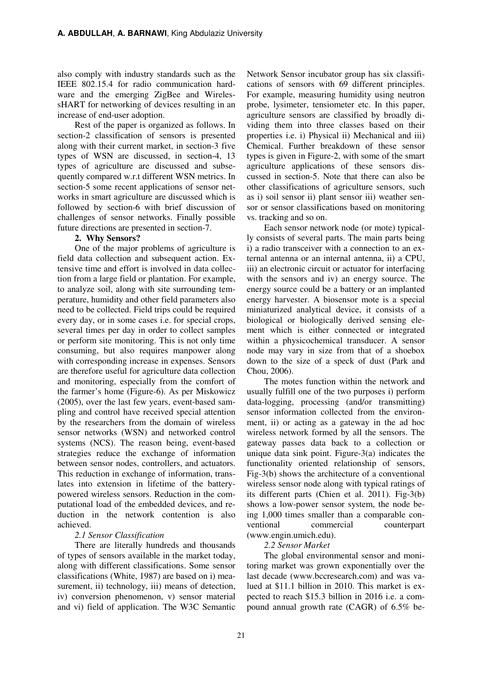also comply with industry standards such as the IEEE 802.15.4 for radio communication hardware and the emerging ZigBee and WirelessHART for networking of devices resulting in an increase of end-user adoption.

Rest of the paper is organized as follows. In section-2 classification of sensors is presented along with their current market, in section-3 five types of WSN are discussed, in section-4, 13 types of agriculture are discussed and subsequently compared w.r.t different WSN metrics. In section-5 some recent applications of sensor networks in smart agriculture are discussed which is followed by section-6 with brief discussion of challenges of sensor networks. Finally possible future directions are presented in section-7.

# **2. Why Sensors?**

One of the major problems of agriculture is field data collection and subsequent action. Extensive time and effort is involved in data collection from a large field or plantation. For example, to analyze soil, along with site surrounding temperature, humidity and other field parameters also need to be collected. Field trips could be required every day, or in some cases i.e. for special crops, several times per day in order to collect samples or perform site monitoring. This is not only time consuming, but also requires manpower along with corresponding increase in expenses. Sensors are therefore useful for agriculture data collection and monitoring, especially from the comfort of the farmer's home (Figure-6). As per Miskowicz (2005), over the last few years, event-based sampling and control have received special attention by the researchers from the domain of wireless sensor networks (WSN) and networked control systems (NCS). The reason being, event-based strategies reduce the exchange of information between sensor nodes, controllers, and actuators. This reduction in exchange of information, translates into extension in lifetime of the batterypowered wireless sensors. Reduction in the computational load of the embedded devices, and reduction in the network contention is also achieved.

# *2.1 Sensor Classification*

There are literally hundreds and thousands of types of sensors available in the market today, along with different classifications. Some sensor classifications (White, 1987) are based on i) measurement, ii) technology, iii) means of detection, iv) conversion phenomenon, v) sensor material and vi) field of application. The W3C Semantic Network Sensor incubator group has six classifications of sensors with 69 different principles. For example, measuring humidity using neutron probe, lysimeter, tensiometer etc. In this paper, agriculture sensors are classified by broadly dividing them into three classes based on their properties i.e. i) Physical ii) Mechanical and iii) Chemical. Further breakdown of these sensor types is given in Figure-2, with some of the smart agriculture applications of these sensors discussed in section-5. Note that there can also be other classifications of agriculture sensors, such as i) soil sensor ii) plant sensor iii) weather sensor or sensor classifications based on monitoring vs. tracking and so on.

Each sensor network node (or mote) typically consists of several parts. The main parts being i) a radio transceiver with a connection to an external antenna or an internal antenna, ii) a CPU, iii) an electronic circuit or actuator for interfacing with the sensors and iv) an energy source. The energy source could be a battery or an implanted energy harvester. A biosensor mote is a special miniaturized analytical device, it consists of a biological or biologically derived sensing element which is either connected or integrated within a physicochemical transducer. A sensor node may vary in size from that of a shoebox down to the size of a speck of dust (Park and Chou, 2006).

The motes function within the network and usually fulfill one of the two purposes i) perform data-logging, processing (and/or transmitting) sensor information collected from the environment, ii) or acting as a gateway in the ad hoc wireless network formed by all the sensors. The gateway passes data back to a collection or unique data sink point. Figure-3(a) indicates the functionality oriented relationship of sensors, Fig-3(b) shows the architecture of a conventional wireless sensor node along with typical ratings of its different parts (Chien et al. 2011). Fig-3(b) shows a low-power sensor system, the node being 1,000 times smaller than a comparable conventional commercial counterpart (www.engin.umich.edu).

# *2.2 Sensor Market*

The global environmental sensor and monitoring market was grown exponentially over the last decade (www.bccresearch.com) and was valued at \$11.1 billion in 2010. This market is expected to reach \$15.3 billion in 2016 i.e. a compound annual growth rate (CAGR) of 6.5% be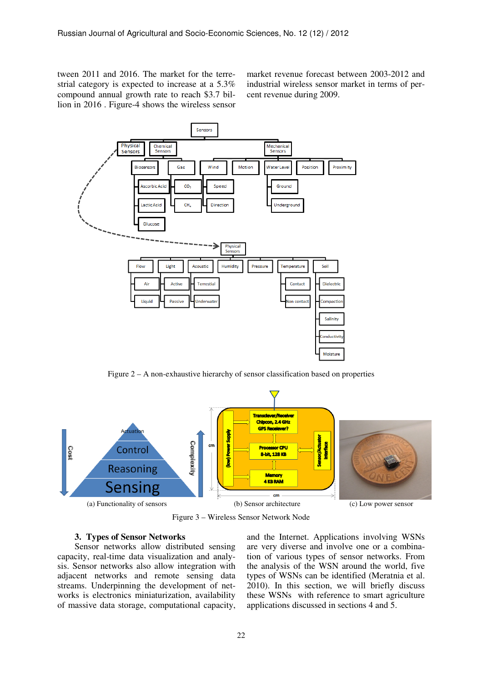tween 2011 and 2016. The market for the terrestrial category is expected to increase at a 5.3% compound annual growth rate to reach \$3.7 billion in 2016 . Figure-4 shows the wireless sensor market revenue forecast between 2003-2012 and industrial wireless sensor market in terms of percent revenue during 2009.



Figure 2 – A non-exhaustive hierarchy of sensor classification based on properties



Figure 3 – Wireless Sensor Network Node

# **3. Types of Sensor Networks**

Sensor networks allow distributed sensing capacity, real-time data visualization and analysis. Sensor networks also allow integration with adjacent networks and remote sensing data streams. Underpinning the development of networks is electronics miniaturization, availability of massive data storage, computational capacity,

and the Internet. Applications involving WSNs are very diverse and involve one or a combination of various types of sensor networks. From the analysis of the WSN around the world, five types of WSNs can be identified (Meratnia et al. 2010). In this section, we will briefly discuss these WSNs with reference to smart agriculture applications discussed in sections 4 and 5.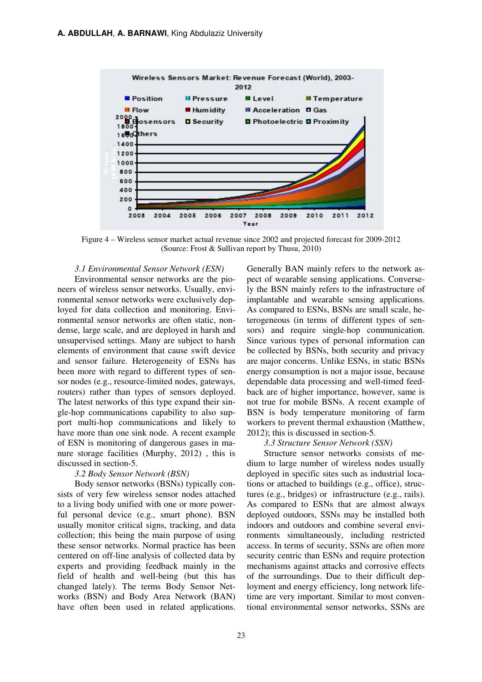

Figure 4 – Wireless sensor market actual revenue since 2002 and projected forecast for 2009-2012 (Source: Frost & Sullivan report by Thusu, 2010)

#### *3.1 Environmental Sensor Network (ESN)*

Environmental sensor networks are the pioneers of wireless sensor networks. Usually, environmental sensor networks were exclusively deployed for data collection and monitoring. Environmental sensor networks are often static, nondense, large scale, and are deployed in harsh and unsupervised settings. Many are subject to harsh elements of environment that cause swift device and sensor failure. Heterogeneity of ESNs has been more with regard to different types of sensor nodes (e.g., resource-limited nodes, gateways, routers) rather than types of sensors deployed. The latest networks of this type expand their single-hop communications capability to also support multi-hop communications and likely to have more than one sink node. A recent example of ESN is monitoring of dangerous gases in manure storage facilities (Murphy, 2012) , this is discussed in section-5.

#### *3.2 Body Sensor Network (BSN)*

Body sensor networks (BSNs) typically consists of very few wireless sensor nodes attached to a living body unified with one or more powerful personal device (e.g., smart phone). BSN usually monitor critical signs, tracking, and data collection; this being the main purpose of using these sensor networks. Normal practice has been centered on off-line analysis of collected data by experts and providing feedback mainly in the field of health and well-being (but this has changed lately). The terms Body Sensor Networks (BSN) and Body Area Network (BAN) have often been used in related applications. Generally BAN mainly refers to the network aspect of wearable sensing applications. Conversely the BSN mainly refers to the infrastructure of implantable and wearable sensing applications. As compared to ESNs, BSNs are small scale, heterogeneous (in terms of different types of sensors) and require single-hop communication. Since various types of personal information can be collected by BSNs, both security and privacy are major concerns. Unlike ESNs, in static BSNs energy consumption is not a major issue, because dependable data processing and well-timed feedback are of higher importance, however, same is not true for mobile BSNs. A recent example of BSN is body temperature monitoring of farm workers to prevent thermal exhaustion (Matthew, 2012); this is discussed in section-5.

#### *3.3 Structure Sensor Network (SSN)*

Structure sensor networks consists of medium to large number of wireless nodes usually deployed in specific sites such as industrial locations or attached to buildings (e.g., office), structures (e.g., bridges) or infrastructure (e.g., rails). As compared to ESNs that are almost always deployed outdoors, SSNs may be installed both indoors and outdoors and combine several environments simultaneously, including restricted access. In terms of security, SSNs are often more security centric than ESNs and require protection mechanisms against attacks and corrosive effects of the surroundings. Due to their difficult deployment and energy efficiency, long network lifetime are very important. Similar to most conventional environmental sensor networks, SSNs are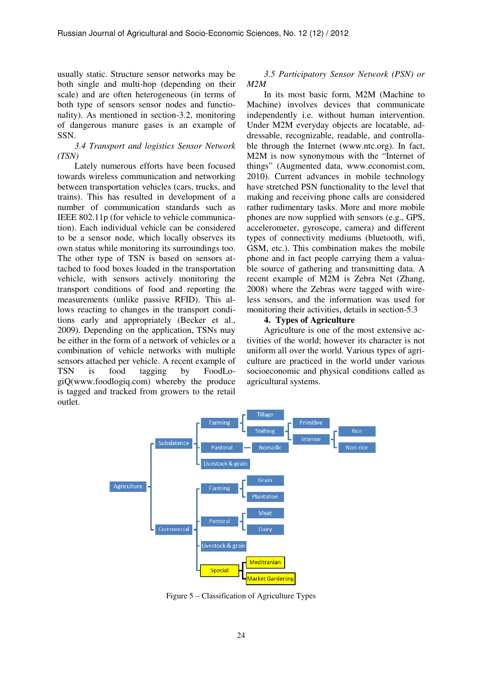usually static. Structure sensor networks may be both single and multi-hop (depending on their scale) and are often heterogeneous (in terms of both type of sensors sensor nodes and functionality). As mentioned in section-3.2, monitoring of dangerous manure gases is an example of SSN.

*3.4 Transport and logistics Sensor Network (TSN)* 

Lately numerous efforts have been focused towards wireless communication and networking between transportation vehicles (cars, trucks, and trains). This has resulted in development of a number of communication standards such as IEEE 802.11p (for vehicle to vehicle communication). Each individual vehicle can be considered to be a sensor node, which locally observes its own status while monitoring its surroundings too. The other type of TSN is based on sensors attached to food boxes loaded in the transportation vehicle, with sensors actively monitoring the transport conditions of food and reporting the measurements (unlike passive RFID). This allows reacting to changes in the transport conditions early and appropriately (Becker et al., 2009). Depending on the application, TSNs may be either in the form of a network of vehicles or a combination of vehicle networks with multiple sensors attached per vehicle. A recent example of TSN is food tagging by FoodLogiQ(www.foodlogiq.com) whereby the produce is tagged and tracked from growers to the retail outlet.

*3.5 Participatory Sensor Network (PSN) or M2M* 

In its most basic form, M2M (Machine to Machine) involves devices that communicate independently i.e. without human intervention. Under M2M everyday objects are locatable, addressable, recognizable, readable, and controllable through the Internet (www.ntc.org). In fact, M2M is now synonymous with the "Internet of things" (Augmented data, www.economist.com, 2010). Current advances in mobile technology have stretched PSN functionality to the level that making and receiving phone calls are considered rather rudimentary tasks. More and more mobile phones are now supplied with sensors (e.g., GPS, accelerometer, gyroscope, camera) and different types of connectivity mediums (bluetooth, wifi, GSM, etc.). This combination makes the mobile phone and in fact people carrying them a valuable source of gathering and transmitting data. A recent example of M2M is Zebra Net (Zhang, 2008) where the Zebras were tagged with wireless sensors, and the information was used for monitoring their activities, details in section-5.3

#### **4. Types of Agriculture**

Agriculture is one of the most extensive activities of the world; however its character is not uniform all over the world. Various types of agriculture are practiced in the world under various socioeconomic and physical conditions called as agricultural systems.



Figure 5 – Classification of Agriculture Types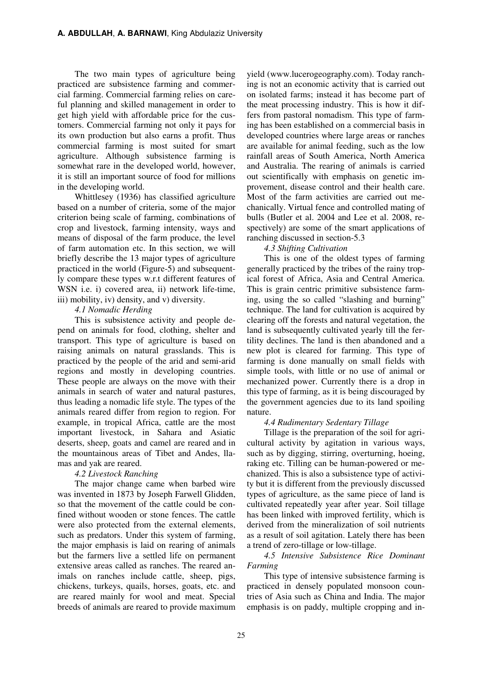The two main types of agriculture being practiced are subsistence farming and commercial farming. Commercial farming relies on careful planning and skilled management in order to get high yield with affordable price for the customers. Commercial farming not only it pays for its own production but also earns a profit. Thus commercial farming is most suited for smart agriculture. Although subsistence farming is somewhat rare in the developed world, however, it is still an important source of food for millions in the developing world.

Whittlesey (1936) has classified agriculture based on a number of criteria, some of the major criterion being scale of farming, combinations of crop and livestock, farming intensity, ways and means of disposal of the farm produce, the level of farm automation etc. In this section, we will briefly describe the 13 major types of agriculture practiced in the world (Figure-5) and subsequently compare these types w.r.t different features of WSN i.e. i) covered area, ii) network life-time, iii) mobility, iv) density, and v) diversity.

#### *4.1 Nomadic Herding*

This is subsistence activity and people depend on animals for food, clothing, shelter and transport. This type of agriculture is based on raising animals on natural grasslands. This is practiced by the people of the arid and semi-arid regions and mostly in developing countries. These people are always on the move with their animals in search of water and natural pastures, thus leading a nomadic life style. The types of the animals reared differ from region to region. For example, in tropical Africa, cattle are the most important livestock, in Sahara and Asiatic deserts, sheep, goats and camel are reared and in the mountainous areas of Tibet and Andes, llamas and yak are reared.

# *4.2 Livestock Ranching*

The major change came when barbed wire was invented in 1873 by Joseph Farwell Glidden, so that the movement of the cattle could be confined without wooden or stone fences. The cattle were also protected from the external elements, such as predators. Under this system of farming, the major emphasis is laid on rearing of animals but the farmers live a settled life on permanent extensive areas called as ranches. The reared animals on ranches include cattle, sheep, pigs, chickens, turkeys, quails, horses, goats, etc. and are reared mainly for wool and meat. Special breeds of animals are reared to provide maximum

yield (www.lucerogeography.com). Today ranching is not an economic activity that is carried out on isolated farms; instead it has become part of the meat processing industry. This is how it differs from pastoral nomadism. This type of farming has been established on a commercial basis in developed countries where large areas or ranches are available for animal feeding, such as the low rainfall areas of South America, North America and Australia. The rearing of animals is carried out scientifically with emphasis on genetic improvement, disease control and their health care. Most of the farm activities are carried out mechanically. Virtual fence and controlled mating of bulls (Butler et al. 2004 and Lee et al. 2008, respectively) are some of the smart applications of ranching discussed in section-5.3

# *4.3 Shifting Cultivation*

This is one of the oldest types of farming generally practiced by the tribes of the rainy tropical forest of Africa, Asia and Central America. This is grain centric primitive subsistence farming, using the so called "slashing and burning" technique. The land for cultivation is acquired by clearing off the forests and natural vegetation, the land is subsequently cultivated yearly till the fertility declines. The land is then abandoned and a new plot is cleared for farming. This type of farming is done manually on small fields with simple tools, with little or no use of animal or mechanized power. Currently there is a drop in this type of farming, as it is being discouraged by the government agencies due to its land spoiling nature.

# *4.4 Rudimentary Sedentary Tillage*

Tillage is the preparation of the soil for agricultural activity by agitation in various ways, such as by digging, stirring, overturning, hoeing, raking etc. Tilling can be human-powered or mechanized. This is also a subsistence type of activity but it is different from the previously discussed types of agriculture, as the same piece of land is cultivated repeatedly year after year. Soil tillage has been linked with improved fertility, which is derived from the mineralization of soil nutrients as a result of soil agitation. Lately there has been a trend of zero-tillage or low-tillage.

#### *4.5 Intensive Subsistence Rice Dominant Farming*

This type of intensive subsistence farming is practiced in densely populated monsoon countries of Asia such as China and India. The major emphasis is on paddy, multiple cropping and in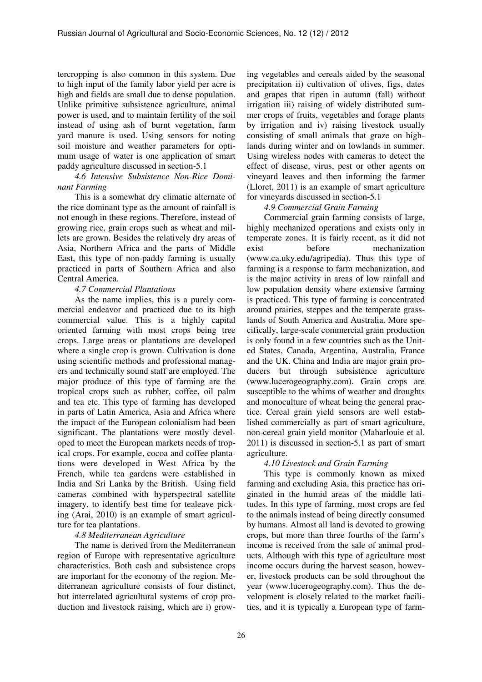tercropping is also common in this system. Due to high input of the family labor yield per acre is high and fields are small due to dense population. Unlike primitive subsistence agriculture, animal power is used, and to maintain fertility of the soil instead of using ash of burnt vegetation, farm yard manure is used. Using sensors for noting soil moisture and weather parameters for optimum usage of water is one application of smart paddy agriculture discussed in section-5.1

#### *4.6 Intensive Subsistence Non-Rice Dominant Farming*

This is a somewhat dry climatic alternate of the rice dominant type as the amount of rainfall is not enough in these regions. Therefore, instead of growing rice, grain crops such as wheat and millets are grown. Besides the relatively dry areas of Asia, Northern Africa and the parts of Middle East, this type of non-paddy farming is usually practiced in parts of Southern Africa and also Central America.

#### *4.7 Commercial Plantations*

As the name implies, this is a purely commercial endeavor and practiced due to its high commercial value. This is a highly capital oriented farming with most crops being tree crops. Large areas or plantations are developed where a single crop is grown. Cultivation is done using scientific methods and professional managers and technically sound staff are employed. The major produce of this type of farming are the tropical crops such as rubber, coffee, oil palm and tea etc. This type of farming has developed in parts of Latin America, Asia and Africa where the impact of the European colonialism had been significant. The plantations were mostly developed to meet the European markets needs of tropical crops. For example, cocoa and coffee plantations were developed in West Africa by the French, while tea gardens were established in India and Sri Lanka by the British. Using field cameras combined with hyperspectral satellite imagery, to identify best time for tealeave picking (Arai, 2010) is an example of smart agriculture for tea plantations.

# *4.8 Mediterranean Agriculture*

The name is derived from the Mediterranean region of Europe with representative agriculture characteristics. Both cash and subsistence crops are important for the economy of the region. Mediterranean agriculture consists of four distinct, but interrelated agricultural systems of crop production and livestock raising, which are i) growing vegetables and cereals aided by the seasonal precipitation ii) cultivation of olives, figs, dates and grapes that ripen in autumn (fall) without irrigation iii) raising of widely distributed summer crops of fruits, vegetables and forage plants by irrigation and iv) raising livestock usually consisting of small animals that graze on highlands during winter and on lowlands in summer. Using wireless nodes with cameras to detect the effect of disease, virus, pest or other agents on vineyard leaves and then informing the farmer (Lloret, 2011) is an example of smart agriculture for vineyards discussed in section-5.1

#### *4.9 Commercial Grain Farming*

Commercial grain farming consists of large, highly mechanized operations and exists only in temperate zones. It is fairly recent, as it did not exist before mechanization (www.ca.uky.edu/agripedia). Thus this type of farming is a response to farm mechanization, and is the major activity in areas of low rainfall and low population density where extensive farming is practiced. This type of farming is concentrated around prairies, steppes and the temperate grasslands of South America and Australia. More specifically, large-scale commercial grain production is only found in a few countries such as the United States, Canada, Argentina, Australia, France and the UK. China and India are major grain producers but through subsistence agriculture (www.lucerogeography.com). Grain crops are susceptible to the whims of weather and droughts and monoculture of wheat being the general practice. Cereal grain yield sensors are well established commercially as part of smart agriculture, non-cereal grain yield monitor (Maharlouie et al. 2011) is discussed in section-5.1 as part of smart agriculture.

# *4.10 Livestock and Grain Farming*

This type is commonly known as mixed farming and excluding Asia, this practice has originated in the humid areas of the middle latitudes. In this type of farming, most crops are fed to the animals instead of being directly consumed by humans. Almost all land is devoted to growing crops, but more than three fourths of the farm's income is received from the sale of animal products. Although with this type of agriculture most income occurs during the harvest season, however, livestock products can be sold throughout the year (www.lucerogeography.com). Thus the development is closely related to the market facilities, and it is typically a European type of farm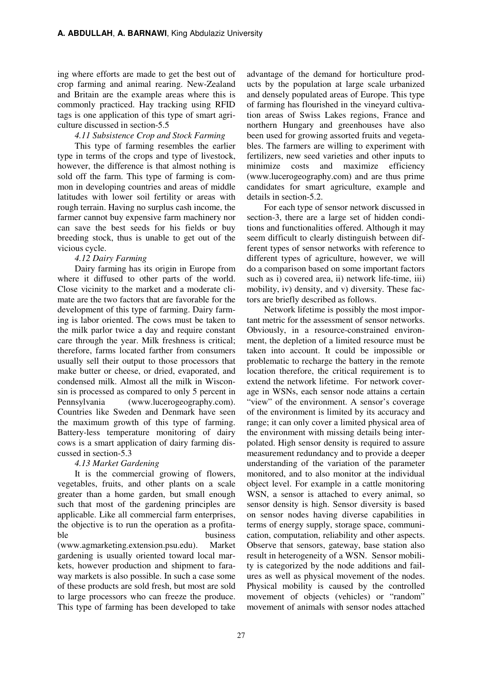ing where efforts are made to get the best out of crop farming and animal rearing. New-Zealand and Britain are the example areas where this is commonly practiced. Hay tracking using RFID tags is one application of this type of smart agriculture discussed in section-5.5

# *4.11 Subsistence Crop and Stock Farming*

This type of farming resembles the earlier type in terms of the crops and type of livestock, however, the difference is that almost nothing is sold off the farm. This type of farming is common in developing countries and areas of middle latitudes with lower soil fertility or areas with rough terrain. Having no surplus cash income, the farmer cannot buy expensive farm machinery nor can save the best seeds for his fields or buy breeding stock, thus is unable to get out of the vicious cycle.

# *4.12 Dairy Farming*

Dairy farming has its origin in Europe from where it diffused to other parts of the world. Close vicinity to the market and a moderate climate are the two factors that are favorable for the development of this type of farming. Dairy farming is labor oriented. The cows must be taken to the milk parlor twice a day and require constant care through the year. Milk freshness is critical; therefore, farms located farther from consumers usually sell their output to those processors that make butter or cheese, or dried, evaporated, and condensed milk. Almost all the milk in Wisconsin is processed as compared to only 5 percent in Pennsylvania (www.lucerogeography.com). Countries like Sweden and Denmark have seen the maximum growth of this type of farming. Battery-less temperature monitoring of dairy cows is a smart application of dairy farming discussed in section-5.3

# *4.13 Market Gardening*

It is the commercial growing of flowers, vegetables, fruits, and other plants on a scale greater than a home garden, but small enough such that most of the gardening principles are applicable. Like all commercial farm enterprises, the objective is to run the operation as a profitable business (www.agmarketing.extension.psu.edu). Market gardening is usually oriented toward local markets, however production and shipment to faraway markets is also possible. In such a case some of these products are sold fresh, but most are sold to large processors who can freeze the produce. This type of farming has been developed to take

advantage of the demand for horticulture products by the population at large scale urbanized and densely populated areas of Europe. This type of farming has flourished in the vineyard cultivation areas of Swiss Lakes regions, France and northern Hungary and greenhouses have also been used for growing assorted fruits and vegetables. The farmers are willing to experiment with fertilizers, new seed varieties and other inputs to minimize costs and maximize efficiency (www.lucerogeography.com) and are thus prime candidates for smart agriculture, example and details in section-5.2.

For each type of sensor network discussed in section-3, there are a large set of hidden conditions and functionalities offered. Although it may seem difficult to clearly distinguish between different types of sensor networks with reference to different types of agriculture, however, we will do a comparison based on some important factors such as i) covered area, ii) network life-time, iii) mobility, iv) density, and v) diversity. These factors are briefly described as follows.

Network lifetime is possibly the most important metric for the assessment of sensor networks. Obviously, in a resource-constrained environment, the depletion of a limited resource must be taken into account. It could be impossible or problematic to recharge the battery in the remote location therefore, the critical requirement is to extend the network lifetime. For network coverage in WSNs, each sensor node attains a certain "view" of the environment. A sensor's coverage of the environment is limited by its accuracy and range; it can only cover a limited physical area of the environment with missing details being interpolated. High sensor density is required to assure measurement redundancy and to provide a deeper understanding of the variation of the parameter monitored, and to also monitor at the individual object level. For example in a cattle monitoring WSN, a sensor is attached to every animal, so sensor density is high. Sensor diversity is based on sensor nodes having diverse capabilities in terms of energy supply, storage space, communication, computation, reliability and other aspects. Observe that sensors, gateway, base station also result in heterogeneity of a WSN. Sensor mobility is categorized by the node additions and failures as well as physical movement of the nodes. Physical mobility is caused by the controlled movement of objects (vehicles) or "random" movement of animals with sensor nodes attached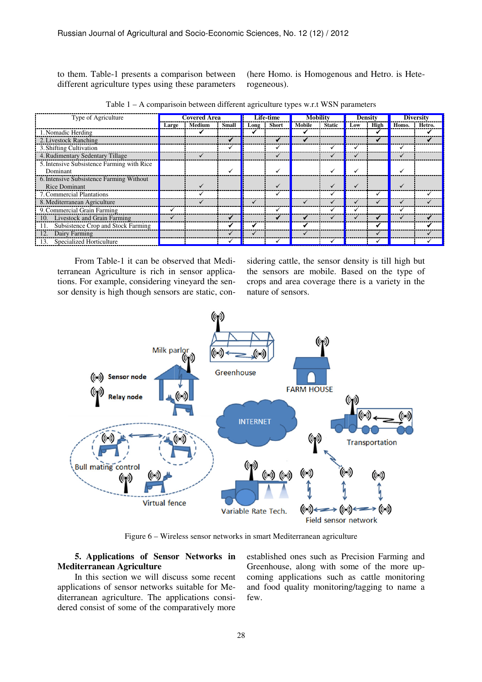to them. Table-1 presents a comparison between to them. Table-1 presents a comparison between<br>different agriculture types using these parameters

(here Homo. is Homogenous and Hetro. is Heterogeneous).

| Type of Agriculture                        | <b>Covered Area</b> |              |              | <b>Life-time</b> |  | <b>Mobility</b> |               | <b>Density</b> |          | <b>Diversity</b> |  |
|--------------------------------------------|---------------------|--------------|--------------|------------------|--|-----------------|---------------|----------------|----------|------------------|--|
|                                            |                     | Large Medium | <b>Small</b> | Long Short       |  | Mobile          | <b>Static</b> |                | Low High | Homo. : Hetro.   |  |
| 1. Nomadic Herding                         |                     |              |              |                  |  |                 |               |                |          |                  |  |
| 2. Livestock Ranching                      |                     |              |              |                  |  |                 |               |                |          |                  |  |
| 3. Shifting Cultivation                    |                     |              |              |                  |  |                 |               |                |          |                  |  |
| 4. Rudimentary Sedentary Tillage           |                     |              |              |                  |  |                 |               |                |          |                  |  |
| 5. Intensive Subsistence Farming with Rice |                     |              |              |                  |  |                 |               |                |          |                  |  |
| Dominant                                   |                     |              |              |                  |  |                 |               |                |          |                  |  |
| 6. Intensive Subsistence Farming Without   |                     |              |              |                  |  |                 |               |                |          |                  |  |
| <b>Rice Dominant</b>                       |                     |              |              |                  |  |                 |               |                |          |                  |  |
| 7. Commercial Plantations                  |                     |              |              |                  |  |                 |               |                |          |                  |  |
| 8. Mediterranean Agriculture               |                     |              |              |                  |  |                 |               |                |          |                  |  |
| 9. Commercial Grain Farming                |                     |              |              |                  |  |                 |               |                |          |                  |  |
| 10. Livestock and Grain Farming            |                     |              |              |                  |  |                 |               |                |          |                  |  |
| Subsistence Crop and Stock Farming         |                     |              |              |                  |  |                 |               |                |          |                  |  |
| Dairy Farming                              |                     |              |              |                  |  |                 |               |                |          |                  |  |
| Specialized Horticulture<br>13.            |                     |              |              |                  |  |                 |               |                |          |                  |  |

Table 1 – A comparisoin between different agriculture types w.r.t WSN parameters

From Table-1 it can be observed that Mediterranean Agriculture is rich in sensor applications. For example, considering vineyard the sensor density is high though sensors are static, considering cattle, the sensor density is till high but the sensors are mobile. Based on the type of crops and area coverage there is a variety in the nature of sensors.



Figure 6 – Wireless sensor networks in smart Mediterranean agriculture

#### **5. Applications of Sensor Networks in Mediterranean Agriculture**

In this section we will discuss some recent applications of sensor networks suitable for M Mediterranean agriculture. The applications cons considered consist of some of the comparatively more

established ones such as Precision Farming and Greenhouse, along with some of the more upcoming applications such as cattle monitoring and food quality monitoring/tagging to name a few.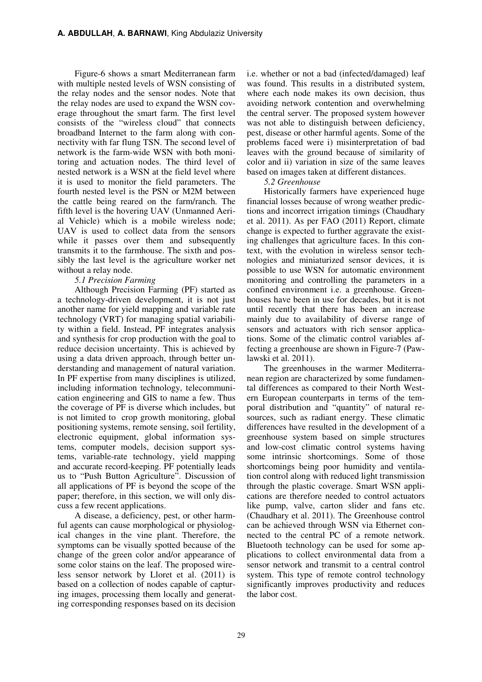Figure-6 shows a smart Mediterranean farm with multiple nested levels of WSN consisting of the relay nodes and the sensor nodes. Note that the relay nodes are used to expand the WSN coverage throughout the smart farm. The first level consists of the "wireless cloud" that connects broadband Internet to the farm along with connectivity with far flung TSN. The second level of network is the farm-wide WSN with both monitoring and actuation nodes. The third level of nested network is a WSN at the field level where it is used to monitor the field parameters. The fourth nested level is the PSN or M2M between the cattle being reared on the farm/ranch. The fifth level is the hovering UAV (Unmanned Aerial Vehicle) which is a mobile wireless node; UAV is used to collect data from the sensors while it passes over them and subsequently transmits it to the farmhouse. The sixth and possibly the last level is the agriculture worker net without a relay node.

#### *5.1 Precision Farming*

Although Precision Farming (PF) started as a technology-driven development, it is not just another name for yield mapping and variable rate technology (VRT) for managing spatial variability within a field. Instead, PF integrates analysis and synthesis for crop production with the goal to reduce decision uncertainty. This is achieved by using a data driven approach, through better understanding and management of natural variation. In PF expertise from many disciplines is utilized, including information technology, telecommunication engineering and GIS to name a few. Thus the coverage of PF is diverse which includes, but is not limited to crop growth monitoring, global positioning systems, remote sensing, soil fertility, electronic equipment, global information systems, computer models, decision support systems, variable-rate technology, yield mapping and accurate record-keeping. PF potentially leads us to "Push Button Agriculture". Discussion of all applications of PF is beyond the scope of the paper; therefore, in this section, we will only discuss a few recent applications.

A disease, a deficiency, pest, or other harmful agents can cause morphological or physiological changes in the vine plant. Therefore, the symptoms can be visually spotted because of the change of the green color and/or appearance of some color stains on the leaf. The proposed wireless sensor network by Lloret et al. (2011) is based on a collection of nodes capable of capturing images, processing them locally and generating corresponding responses based on its decision

i.e. whether or not a bad (infected/damaged) leaf was found. This results in a distributed system, where each node makes its own decision, thus avoiding network contention and overwhelming the central server. The proposed system however was not able to distinguish between deficiency, pest, disease or other harmful agents. Some of the problems faced were i) misinterpretation of bad leaves with the ground because of similarity of color and ii) variation in size of the same leaves based on images taken at different distances.

#### *5.2 Greenhouse*

Historically farmers have experienced huge financial losses because of wrong weather predictions and incorrect irrigation timings (Chaudhary et al. 2011). As per FAO (2011) Report, climate change is expected to further aggravate the existing challenges that agriculture faces. In this context, with the evolution in wireless sensor technologies and miniaturized sensor devices, it is possible to use WSN for automatic environment monitoring and controlling the parameters in a confined environment i.e. a greenhouse. Greenhouses have been in use for decades, but it is not until recently that there has been an increase mainly due to availability of diverse range of sensors and actuators with rich sensor applications. Some of the climatic control variables affecting a greenhouse are shown in Figure-7 (Pawlawski et al. 2011).

The greenhouses in the warmer Mediterranean region are characterized by some fundamental differences as compared to their North Western European counterparts in terms of the temporal distribution and "quantity" of natural resources, such as radiant energy. These climatic differences have resulted in the development of a greenhouse system based on simple structures and low-cost climatic control systems having some intrinsic shortcomings. Some of those shortcomings being poor humidity and ventilation control along with reduced light transmission through the plastic coverage. Smart WSN applications are therefore needed to control actuators like pump, valve, carton slider and fans etc. (Chaudhary et al. 2011). The Greenhouse control can be achieved through WSN via Ethernet connected to the central PC of a remote network. Bluetooth technology can be used for some applications to collect environmental data from a sensor network and transmit to a central control system. This type of remote control technology significantly improves productivity and reduces the labor cost.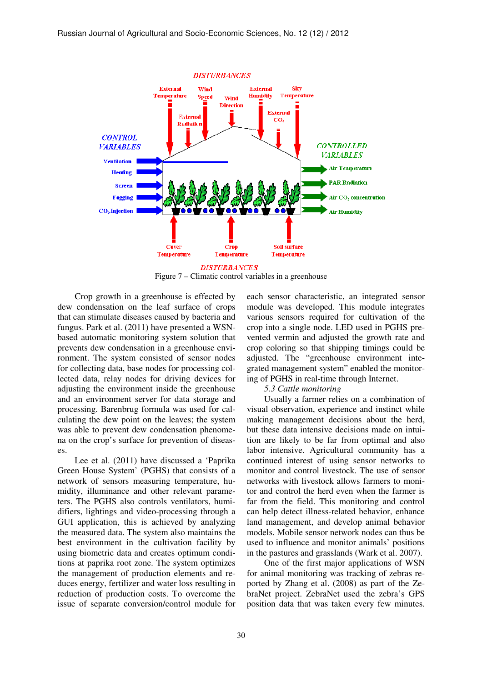

Figure 7 – Climatic control variables in a greenhouse

Crop growth in a greenhouse is effected by dew condensation on the leaf surface of crops that can stimulate diseases caused by bacteria and fungus. Park et al. (2011) have presented a WSNbased automatic monitoring system solution that prevents dew condensation in a greenhouse environment. The system consisted of sensor nodes for collecting data, base nodes for processing collected data, relay nodes for driving devices for adjusting the environment inside the greenhouse and an environment server for data storage and processing. Barenbrug formula was used for calculating the dew point on the leaves; the system was able to prevent dew condensation phenomena on the crop's surface for prevention of diseases.

Lee et al. (2011) have discussed a 'Paprika Green House System' (PGHS) that consists of a network of sensors measuring temperature, humidity, illuminance and other relevant parameters. The PGHS also controls ventilators, humidifiers, lightings and video-processing through a GUI application, this is achieved by analyzing the measured data. The system also maintains the best environment in the cultivation facility by using biometric data and creates optimum conditions at paprika root zone. The system optimizes the management of production elements and reduces energy, fertilizer and water loss resulting in reduction of production costs. To overcome the issue of separate conversion/control module for each sensor characteristic, an integrated sensor module was developed. This module integrates various sensors required for cultivation of the crop into a single node. LED used in PGHS prevented vermin and adjusted the growth rate and crop coloring so that shipping timings could be adjusted. The "greenhouse environment integrated management system" enabled the monitoring of PGHS in real-time through Internet.

#### *5.3 Cattle monitoring*

Usually a farmer relies on a combination of visual observation, experience and instinct while making management decisions about the herd, but these data intensive decisions made on intuition are likely to be far from optimal and also labor intensive. Agricultural community has a continued interest of using sensor networks to monitor and control livestock. The use of sensor networks with livestock allows farmers to monitor and control the herd even when the farmer is far from the field. This monitoring and control can help detect illness-related behavior, enhance land management, and develop animal behavior models. Mobile sensor network nodes can thus be used to influence and monitor animals' positions in the pastures and grasslands (Wark et al. 2007).

One of the first major applications of WSN for animal monitoring was tracking of zebras reported by Zhang et al. (2008) as part of the ZebraNet project. ZebraNet used the zebra's GPS position data that was taken every few minutes.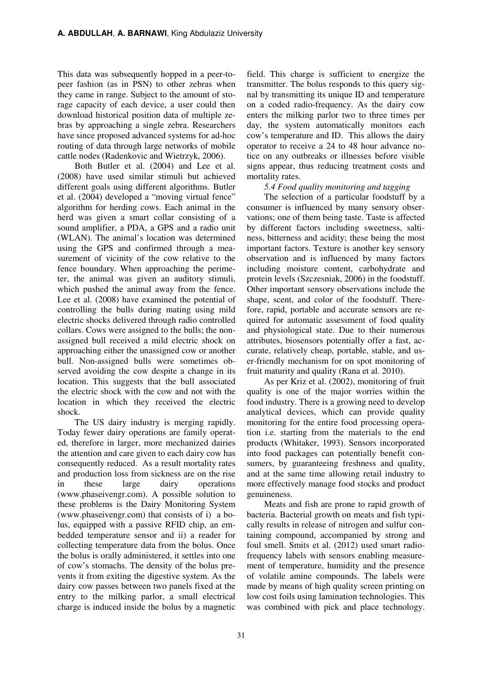This data was subsequently hopped in a peer-topeer fashion (as in PSN) to other zebras when they came in range. Subject to the amount of storage capacity of each device, a user could then download historical position data of multiple zebras by approaching a single zebra. Researchers have since proposed advanced systems for ad-hoc routing of data through large networks of mobile cattle nodes (Radenkovic and Wietrzyk, 2006).

Both Butler et al. (2004) and Lee et al. (2008) have used similar stimuli but achieved different goals using different algorithms. Butler et al. (2004) developed a "moving virtual fence" algorithm for herding cows. Each animal in the herd was given a smart collar consisting of a sound amplifier, a PDA, a GPS and a radio unit (WLAN). The animal's location was determined using the GPS and confirmed through a measurement of vicinity of the cow relative to the fence boundary. When approaching the perimeter, the animal was given an auditory stimuli, which pushed the animal away from the fence. Lee et al. (2008) have examined the potential of controlling the bulls during mating using mild electric shocks delivered through radio controlled collars. Cows were assigned to the bulls; the nonassigned bull received a mild electric shock on approaching either the unassigned cow or another bull. Non-assigned bulls were sometimes observed avoiding the cow despite a change in its location. This suggests that the bull associated the electric shock with the cow and not with the location in which they received the electric shock.

The US dairy industry is merging rapidly. Today fewer dairy operations are family operated, therefore in larger, more mechanized dairies the attention and care given to each dairy cow has consequently reduced. As a result mortality rates and production loss from sickness are on the rise in these large dairy operations (www.phaseivengr.com). A possible solution to these problems is the Dairy Monitoring System (www.phaseivengr.com) that consists of i) a bolus, equipped with a passive RFID chip, an embedded temperature sensor and ii) a reader for collecting temperature data from the bolus. Once the bolus is orally administered, it settles into one of cow's stomachs. The density of the bolus prevents it from exiting the digestive system. As the dairy cow passes between two panels fixed at the entry to the milking parlor, a small electrical charge is induced inside the bolus by a magnetic field. This charge is sufficient to energize the transmitter. The bolus responds to this query signal by transmitting its unique ID and temperature on a coded radio-frequency. As the dairy cow enters the milking parlor two to three times per day, the system automatically monitors each cow's temperature and ID. This allows the dairy operator to receive a 24 to 48 hour advance notice on any outbreaks or illnesses before visible signs appear, thus reducing treatment costs and mortality rates.

# *5.4 Food quality monitoring and tagging*

The selection of a particular foodstuff by a consumer is influenced by many sensory observations; one of them being taste. Taste is affected by different factors including sweetness, saltiness, bitterness and acidity; these being the most important factors. Texture is another key sensory observation and is influenced by many factors including moisture content, carbohydrate and protein levels (Szczesniak, 2006) in the foodstuff. Other important sensory observations include the shape, scent, and color of the foodstuff. Therefore, rapid, portable and accurate sensors are required for automatic assessment of food quality and physiological state. Due to their numerous attributes, biosensors potentially offer a fast, accurate, relatively cheap, portable, stable, and user-friendly mechanism for on spot monitoring of fruit maturity and quality (Rana et al. 2010).

As per Kriz et al. (2002), monitoring of fruit quality is one of the major worries within the food industry. There is a growing need to develop analytical devices, which can provide quality monitoring for the entire food processing operation i.e. starting from the materials to the end products (Whitaker, 1993). Sensors incorporated into food packages can potentially benefit consumers, by guaranteeing freshness and quality, and at the same time allowing retail industry to more effectively manage food stocks and product genuineness.

Meats and fish are prone to rapid growth of bacteria. Bacterial growth on meats and fish typically results in release of nitrogen and sulfur containing compound, accompanied by strong and foul smell. Smits et al. (2012) used smart radiofrequency labels with sensors enabling measurement of temperature, humidity and the presence of volatile amine compounds. The labels were made by means of high quality screen printing on low cost foils using lamination technologies. This was combined with pick and place technology.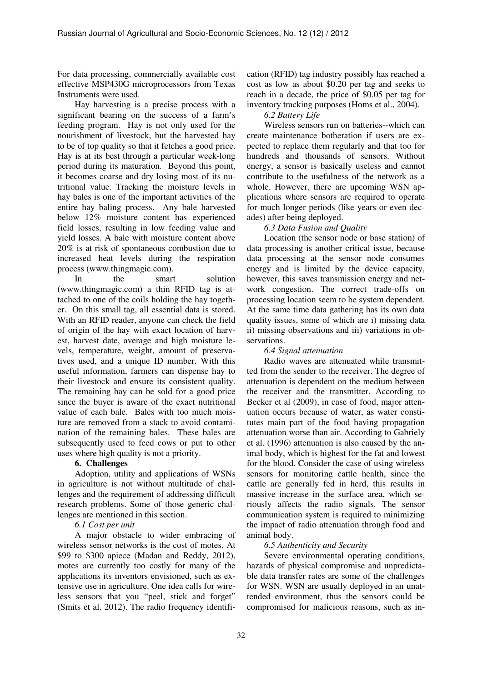For data processing, commercially available cost effective MSP430G microprocessors from Texas Instruments were used.

Hay harvesting is a precise process with a significant bearing on the success of a farm's feeding program. Hay is not only used for the nourishment of livestock, but the harvested hay to be of top quality so that it fetches a good price. Hay is at its best through a particular week-long period during its maturation. Beyond this point, it becomes coarse and dry losing most of its nutritional value. Tracking the moisture levels in hay bales is one of the important activities of the entire hay baling process. Any bale harvested below 12% moisture content has experienced field losses, resulting in low feeding value and yield losses. A bale with moisture content above 20% is at risk of spontaneous combustion due to increased heat levels during the respiration process (www.thingmagic.com).

In the smart solution (www.thingmagic.com) a thin RFID tag is attached to one of the coils holding the hay together. On this small tag, all essential data is stored. With an RFID reader, anyone can check the field of origin of the hay with exact location of harvest, harvest date, average and high moisture levels, temperature, weight, amount of preservatives used, and a unique ID number. With this useful information, farmers can dispense hay to their livestock and ensure its consistent quality. The remaining hay can be sold for a good price since the buyer is aware of the exact nutritional value of each bale. Bales with too much moisture are removed from a stack to avoid contamination of the remaining bales. These bales are subsequently used to feed cows or put to other uses where high quality is not a priority.

# **6. Challenges**

Adoption, utility and applications of WSNs in agriculture is not without multitude of challenges and the requirement of addressing difficult research problems. Some of those generic challenges are mentioned in this section.

# *6.1 Cost per unit*

A major obstacle to wider embracing of wireless sensor networks is the cost of motes. At \$99 to \$300 apiece (Madan and Reddy, 2012), motes are currently too costly for many of the applications its inventors envisioned, such as extensive use in agriculture. One idea calls for wireless sensors that you "peel, stick and forget" (Smits et al. 2012). The radio frequency identification (RFID) tag industry possibly has reached a cost as low as about \$0.20 per tag and seeks to reach in a decade, the price of \$0.05 per tag for inventory tracking purposes (Homs et al., 2004).

#### *6.2 Battery Life*

Wireless sensors run on batteries--which can create maintenance botheration if users are expected to replace them regularly and that too for hundreds and thousands of sensors. Without energy, a sensor is basically useless and cannot contribute to the usefulness of the network as a whole. However, there are upcoming WSN applications where sensors are required to operate for much longer periods (like years or even decades) after being deployed.

# *6.3 Data Fusion and Quality*

Location (the sensor node or base station) of data processing is another critical issue, because data processing at the sensor node consumes energy and is limited by the device capacity, however, this saves transmission energy and network congestion. The correct trade-offs on processing location seem to be system dependent. At the same time data gathering has its own data quality issues, some of which are i) missing data ii) missing observations and iii) variations in observations.

# *6.4 Signal attenuation*

Radio waves are attenuated while transmitted from the sender to the receiver. The degree of attenuation is dependent on the medium between the receiver and the transmitter. According to Becker et al (2009), in case of food, major attenuation occurs because of water, as water constitutes main part of the food having propagation attenuation worse than air. According to Gabriely et al. (1996) attenuation is also caused by the animal body, which is highest for the fat and lowest for the blood. Consider the case of using wireless sensors for monitoring cattle health, since the cattle are generally fed in herd, this results in massive increase in the surface area, which seriously affects the radio signals. The sensor communication system is required to minimizing the impact of radio attenuation through food and animal body.

# *6.5 Authenticity and Security*

Severe environmental operating conditions, hazards of physical compromise and unpredictable data transfer rates are some of the challenges for WSN. WSN are usually deployed in an unattended environment, thus the sensors could be compromised for malicious reasons, such as in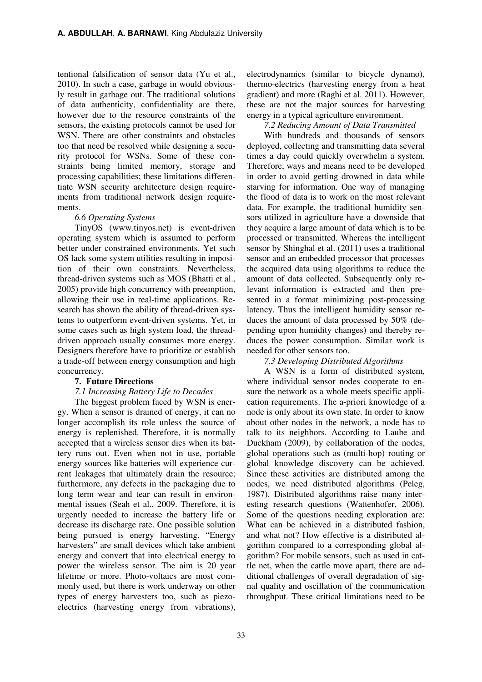tentional falsification of sensor data (Yu et al., 2010). In such a case, garbage in would obviously result in garbage out. The traditional solutions of data authenticity, confidentiality are there, however due to the resource constraints of the sensors, the existing protocols cannot be used for WSN. There are other constraints and obstacles too that need be resolved while designing a security protocol for WSNs. Some of these constraints being limited memory, storage and processing capabilities; these limitations differentiate WSN security architecture design requirements from traditional network design requirements.

# *6.6 Operating Systems*

TinyOS (www.tinyos.net) is event-driven operating system which is assumed to perform better under constrained environments. Yet such OS lack some system utilities resulting in imposition of their own constraints. Nevertheless, thread-driven systems such as MOS (Bhatti et al., 2005) provide high concurrency with preemption, allowing their use in real-time applications. Research has shown the ability of thread-driven systems to outperform event-driven systems. Yet, in some cases such as high system load, the threaddriven approach usually consumes more energy. Designers therefore have to prioritize or establish a trade-off between energy consumption and high concurrency.

# **7. Future Directions**

#### *7.1 Increasing Battery Life to Decades*

The biggest problem faced by WSN is energy. When a sensor is drained of energy, it can no longer accomplish its role unless the source of energy is replenished. Therefore, it is normally accepted that a wireless sensor dies when its battery runs out. Even when not in use, portable energy sources like batteries will experience current leakages that ultimately drain the resource; furthermore, any defects in the packaging due to long term wear and tear can result in environmental issues (Seah et al., 2009. Therefore, it is urgently needed to increase the battery life or decrease its discharge rate. One possible solution being pursued is energy harvesting. "Energy harvesters" are small devices which take ambient energy and convert that into electrical energy to power the wireless sensor. The aim is 20 year lifetime or more. Photo-voltaics are most commonly used, but there is work underway on other types of energy harvesters too, such as piezoelectrics (harvesting energy from vibrations),

electrodynamics (similar to bicycle dynamo), thermo-electrics (harvesting energy from a heat gradient) and more (Raghi et al. 2011). However, these are not the major sources for harvesting energy in a typical agriculture environment.

# *7.2 Reducing Amount of Data Transmitted*

With hundreds and thousands of sensors deployed, collecting and transmitting data several times a day could quickly overwhelm a system. Therefore, ways and means need to be developed in order to avoid getting drowned in data while starving for information. One way of managing the flood of data is to work on the most relevant data. For example, the traditional humidity sensors utilized in agriculture have a downside that they acquire a large amount of data which is to be processed or transmitted. Whereas the intelligent sensor by Shinghal et al. (2011) uses a traditional sensor and an embedded processor that processes the acquired data using algorithms to reduce the amount of data collected. Subsequently only relevant information is extracted and then presented in a format minimizing post-processing latency. Thus the intelligent humidity sensor reduces the amount of data processed by 50% (depending upon humidity changes) and thereby reduces the power consumption. Similar work is needed for other sensors too.

# *7.3 Developing Distributed Algorithms*

A WSN is a form of distributed system, where individual sensor nodes cooperate to ensure the network as a whole meets specific application requirements. The a-priori knowledge of a node is only about its own state. In order to know about other nodes in the network, a node has to talk to its neighbors. According to Laube and Duckham (2009), by collaboration of the nodes, global operations such as (multi-hop) routing or global knowledge discovery can be achieved. Since these activities are distributed among the nodes, we need distributed algorithms (Peleg, 1987). Distributed algorithms raise many interesting research questions (Wattenhofer, 2006). Some of the questions needing exploration are: What can be achieved in a distributed fashion, and what not? How effective is a distributed algorithm compared to a corresponding global algorithm? For mobile sensors, such as used in cattle net, when the cattle move apart, there are additional challenges of overall degradation of signal quality and oscillation of the communication throughput. These critical limitations need to be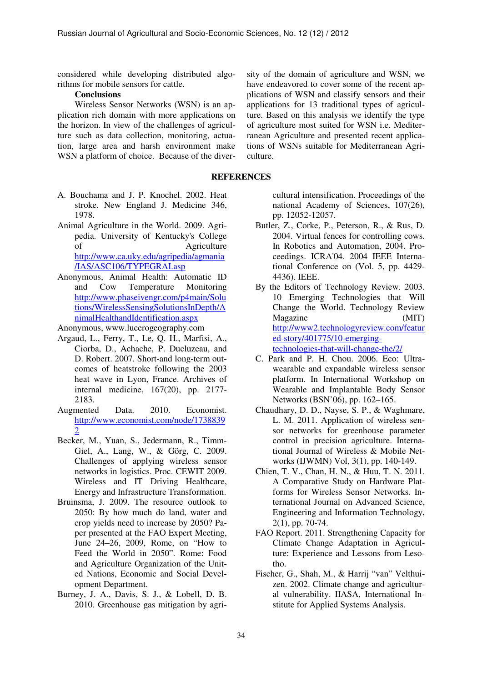considered while developing distributed algorithms for mobile sensors for cattle.

# **Conclusions**

Wireless Sensor Networks (WSN) is an application rich domain with more applications on the horizon. In view of the challenges of agriculture such as data collection, monitoring, actuation, large area and harsh environment make WSN a platform of choice. Because of the diver-

sity of the domain of agriculture and WSN, we have endeavored to cover some of the recent applications of WSN and classify sensors and their applications for 13 traditional types of agriculture. Based on this analysis we identify the type of agriculture most suited for WSN i.e. Mediterranean Agriculture and presented recent applications of WSNs suitable for Mediterranean Agriculture.

#### **REFERENCES**

- A. Bouchama and J. P. Knochel. 2002. Heat stroke. New England J. Medicine 346, 1978.
- Animal Agriculture in the World. 2009. Agripedia. University of Kentucky's College of Agriculture http://www.ca.uky.edu/agripedia/agmania /IAS/ASC106/TYPEGRAI.asp
- Anonymous, Animal Health: Automatic ID and Cow Temperature Monitoring http://www.phaseivengr.com/p4main/Solu tions/WirelessSensingSolutionsInDepth/A nimalHealthandIdentification.aspx

Anonymous, www.lucerogeography.com

- Argaud, L., Ferry, T., Le, Q. H., Marfisi, A., Ciorba, D., Achache, P. Ducluzeau, and D. Robert. 2007. Short-and long-term outcomes of heatstroke following the 2003 heat wave in Lyon, France. Archives of internal medicine, 167(20), pp. 2177- 2183.
- Augmented Data. 2010. Economist. http://www.economist.com/node/1738839 2
- Becker, M., Yuan, S., Jedermann, R., Timm-Giel, A., Lang, W., & Görg, C. 2009. Challenges of applying wireless sensor networks in logistics. Proc. CEWIT 2009. Wireless and IT Driving Healthcare, Energy and Infrastructure Transformation.
- Bruinsma, J. 2009. The resource outlook to 2050: By how much do land, water and crop yields need to increase by 2050? Paper presented at the FAO Expert Meeting, June 24–26, 2009, Rome, on "How to Feed the World in 2050". Rome: Food and Agriculture Organization of the United Nations, Economic and Social Development Department.
- Burney, J. A., Davis, S. J., & Lobell, D. B. 2010. Greenhouse gas mitigation by agri-

cultural intensification. Proceedings of the national Academy of Sciences, 107(26), pp. 12052-12057.

- Butler, Z., Corke, P., Peterson, R., & Rus, D. 2004. Virtual fences for controlling cows. In Robotics and Automation, 2004. Proceedings. ICRA'04. 2004 IEEE International Conference on (Vol. 5, pp. 4429- 4436). IEEE.
- By the Editors of Technology Review. 2003. 10 Emerging Technologies that Will Change the World. Technology Review Magazine (MIT) http://www2.technologyreview.com/featur ed-story/401775/10-emergingtechnologies-that-will-change-the/2/
- C. Park and P. H. Chou. 2006. Eco: Ultrawearable and expandable wireless sensor platform. In International Workshop on Wearable and Implantable Body Sensor Networks (BSN'06), pp. 162–165.
- Chaudhary, D. D., Nayse, S. P., & Waghmare, L. M. 2011. Application of wireless sensor networks for greenhouse parameter control in precision agriculture. International Journal of Wireless & Mobile Networks (IJWMN) Vol, 3(1), pp. 140-149.
- Chien, T. V., Chan, H. N., & Huu, T. N. 2011. A Comparative Study on Hardware Platforms for Wireless Sensor Networks. International Journal on Advanced Science, Engineering and Information Technology, 2(1), pp. 70-74.
- FAO Report. 2011. Strengthening Capacity for Climate Change Adaptation in Agriculture: Experience and Lessons from Lesotho.
- Fischer, G., Shah, M., & Harrij "van" Velthuizen. 2002. Climate change and agricultural vulnerability. IIASA, International Institute for Applied Systems Analysis.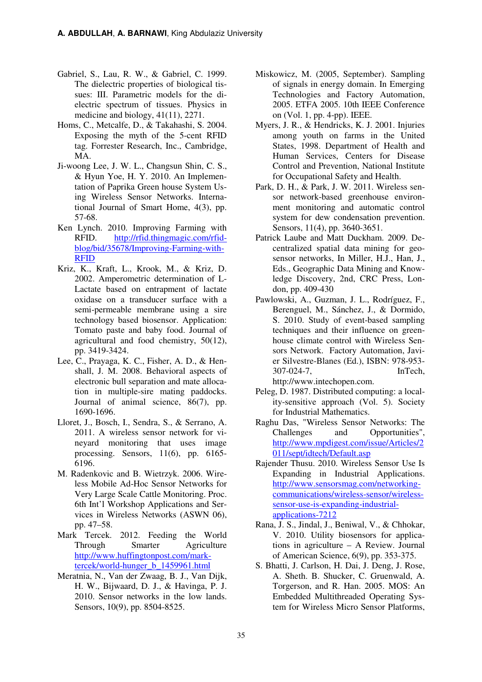- Gabriel, S., Lau, R. W., & Gabriel, C. 1999. The dielectric properties of biological tissues: III. Parametric models for the dielectric spectrum of tissues. Physics in medicine and biology, 41(11), 2271.
- Homs, C., Metcalfe, D., & Takahashi, S. 2004. Exposing the myth of the 5-cent RFID tag. Forrester Research, Inc., Cambridge, MA.
- Ji-woong Lee, J. W. L., Changsun Shin, C. S., & Hyun Yoe, H. Y. 2010. An Implementation of Paprika Green house System Using Wireless Sensor Networks. International Journal of Smart Home, 4(3), pp. 57-68.
- Ken Lynch. 2010. Improving Farming with RFID. http://rfid.thingmagic.com/rfidblog/bid/35678/Improving-Farming-with-RFID
- Kriz, K., Kraft, L., Krook, M., & Kriz, D. 2002. Amperometric determination of L-Lactate based on entrapment of lactate oxidase on a transducer surface with a semi-permeable membrane using a sire technology based biosensor. Application: Tomato paste and baby food. Journal of agricultural and food chemistry, 50(12), pp. 3419-3424.
- Lee, C., Prayaga, K. C., Fisher, A. D., & Henshall, J. M. 2008. Behavioral aspects of electronic bull separation and mate allocation in multiple-sire mating paddocks. Journal of animal science, 86(7), pp. 1690-1696.
- Lloret, J., Bosch, I., Sendra, S., & Serrano, A. 2011. A wireless sensor network for vineyard monitoring that uses image processing. Sensors, 11(6), pp. 6165- 6196.
- M. Radenkovic and B. Wietrzyk. 2006. Wireless Mobile Ad-Hoc Sensor Networks for Very Large Scale Cattle Monitoring. Proc. 6th Int'l Workshop Applications and Services in Wireless Networks (ASWN 06), pp. 47–58.
- Mark Tercek. 2012. Feeding the World Through Smarter Agriculture http://www.huffingtonpost.com/marktercek/world-hunger\_b\_1459961.html
- Meratnia, N., Van der Zwaag, B. J., Van Dijk, H. W., Bijwaard, D. J., & Havinga, P. J. 2010. Sensor networks in the low lands. Sensors, 10(9), pp. 8504-8525.
- Miskowicz, M. (2005, September). Sampling of signals in energy domain. In Emerging Technologies and Factory Automation, 2005. ETFA 2005. 10th IEEE Conference on (Vol. 1, pp. 4-pp). IEEE.
- Myers, J. R., & Hendricks, K. J. 2001. Injuries among youth on farms in the United States, 1998. Department of Health and Human Services, Centers for Disease Control and Prevention, National Institute for Occupational Safety and Health.
- Park, D. H., & Park, J. W. 2011. Wireless sensor network-based greenhouse environment monitoring and automatic control system for dew condensation prevention. Sensors, 11(4), pp. 3640-3651.
- Patrick Laube and Matt Duckham. 2009. Decentralized spatial data mining for geosensor networks, In Miller, H.J., Han, J., Eds., Geographic Data Mining and Knowledge Discovery, 2nd, CRC Press, London, pp. 409-430
- Pawlowski, A., Guzman, J. L., Rodríguez, F., Berenguel, M., Sánchez, J., & Dormido, S. 2010. Study of event-based sampling techniques and their influence on greenhouse climate control with Wireless Sensors Network. Factory Automation, Javier Silvestre-Blanes (Ed.), ISBN: 978-953- 307-024-7, InTech, http://www.intechopen.com.
- Peleg, D. 1987. Distributed computing: a locality-sensitive approach (Vol. 5). Society for Industrial Mathematics.
- Raghu Das, "Wireless Sensor Networks: The Challenges and Opportunities", http://www.mpdigest.com/issue/Articles/2 011/sept/idtech/Default.asp
- Rajender Thusu. 2010. Wireless Sensor Use Is Expanding in Industrial Applications. http://www.sensorsmag.com/networkingcommunications/wireless-sensor/wirelesssensor-use-is-expanding-industrialapplications-7212
- Rana, J. S., Jindal, J., Beniwal, V., & Chhokar, V. 2010. Utility biosensors for applications in agriculture – A Review. Journal of American Science, 6(9), pp. 353-375.
- S. Bhatti, J. Carlson, H. Dai, J. Deng, J. Rose, A. Sheth. B. Shucker, C. Gruenwald, A. Torgerson, and R. Han. 2005. MOS: An Embedded Multithreaded Operating System for Wireless Micro Sensor Platforms,